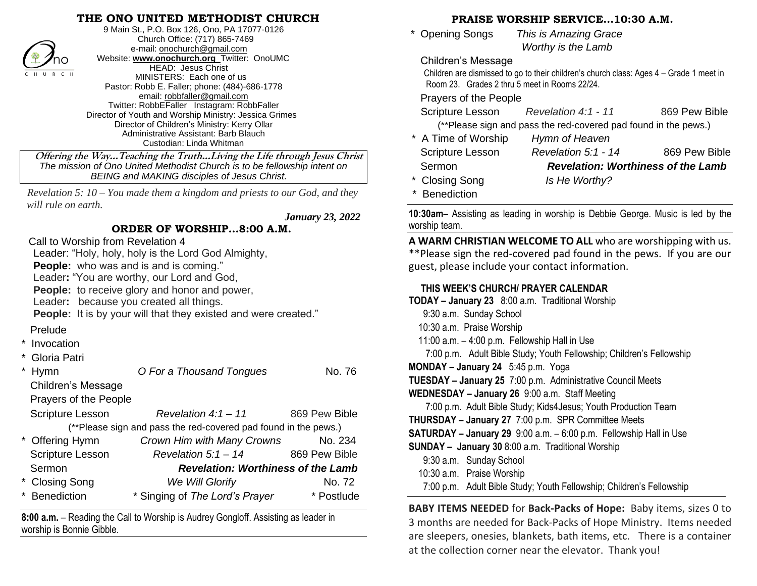## **THE ONO UNITED METHODIST CHURCH**



9 Main St., P.O. Box 126, Ono, PA 17077-0126 Church Office: (717) 865-7469 e-mail[: onochurch@gmail.com](mailto:onochurch@gmail.com) Website: **[www.onochurch.org](http://www.onochurch.org/)** Twitter: OnoUMC HEAD: Jesus Christ MINISTERS: Each one of us Pastor: Robb E. Faller; phone: (484)-686-1778 email: [robbfaller@gmail.com](mailto:robbfaller@gmail.com) Twitter: RobbEFaller Instagram: RobbFaller Director of Youth and Worship Ministry: Jessica Grimes Director of Children's Ministry: Kerry Ollar Administrative Assistant: Barb Blauch Custodian: Linda Whitman

 **Offering the Way…Teaching the Truth…Living the Life through Jesus Christ** *The mission of Ono United Methodist Church is to be fellowship intent on BEING and MAKING disciples of Jesus Christ.* 

*Revelation 5: 10 – You made them a kingdom and priests to our God, and they will rule on earth.*

 *January 23, 2022* 

#### **ORDER OF WORSHIP…8:00 A.M.**

Call to Worship from Revelation 4

Leader: "Holy, holy, holy is the Lord God Almighty,

**People:** who was and is and is coming."

Leader**:** "You are worthy, our Lord and God,

**People:** to receive glory and honor and power,

Leader**:** because you created all things.

**People:** It is by your will that they existed and were created."

### Prelude

- **Invocation**
- Gloria Patri

| <b>Hymn</b>               | O For a Thousand Tongues                                        | No. 76        |
|---------------------------|-----------------------------------------------------------------|---------------|
| <b>Children's Message</b> |                                                                 |               |
| Prayers of the People     |                                                                 |               |
| <b>Scripture Lesson</b>   | Revelation $4:1-11$                                             | 869 Pew Bible |
|                           | (**Please sign and pass the red-covered pad found in the pews.) |               |
| * Offering Hymn           | Crown Him with Many Crowns                                      | No. 234       |
| <b>Scripture Lesson</b>   | Revelation $5:1 - 14$                                           | 869 Pew Bible |
| Sermon                    | <b>Revelation: Worthiness of the Lamb</b>                       |               |
| * Closing Song            | We Will Glorify                                                 | No. 72        |
| * Benediction             | * Singing of The Lord's Prayer                                  | * Postlude    |
|                           |                                                                 |               |

**8:00 a.m.** – Reading the Call to Worship is Audrey Gongloff. Assisting as leader in worship is Bonnie Gibble.

#### **PRAISE WORSHIP SERVICE…10:30 A.M.**

 \* Opening Songs *This is Amazing Grace Worthy is the Lamb* 

Children's Message

 Children are dismissed to go to their children's church class: Ages 4 – Grade 1 meet in Room 23. Grades 2 thru 5 meet in Rooms 22/24.

Prayers of the People

| Scripture Lesson    | Revelation $4:1$ - 11                                           | 869 Pew Bible |
|---------------------|-----------------------------------------------------------------|---------------|
|                     | (**Please sign and pass the red-covered pad found in the pews.) |               |
| * A Time of Worship | Hymn of Heaven                                                  |               |

| <b>Scripture Lesson</b> | Revelation $5:1$ - 14                     | 869 Pew Bible |
|-------------------------|-------------------------------------------|---------------|
| Sermon                  | <b>Revelation: Worthiness of the Lamb</b> |               |
| * Closing Song          | Is He Worthy?                             |               |
| * Renediction           |                                           |               |

**10:30am**– Assisting as leading in worship is Debbie George. Music is led by the worship team.

**A WARM CHRISTIAN WELCOME TO ALL** who are worshipping with us. \*\*Please sign the red-covered pad found in the pews. If you are our guest, please include your contact information.

# **THIS WEEK'S CHURCH/ PRAYER CALENDAR**

| TODAY - January 23 8:00 a.m. Traditional Worship                          |  |  |  |  |
|---------------------------------------------------------------------------|--|--|--|--|
| 9:30 a.m. Sunday School                                                   |  |  |  |  |
| 10:30 a.m. Praise Worship                                                 |  |  |  |  |
| 11:00 a.m. - 4:00 p.m. Fellowship Hall in Use                             |  |  |  |  |
| 7:00 p.m. Adult Bible Study; Youth Fellowship; Children's Fellowship      |  |  |  |  |
| <b>MONDAY - January 24</b> 5:45 p.m. Yoga                                 |  |  |  |  |
| <b>TUESDAY - January 25</b> 7:00 p.m. Administrative Council Meets        |  |  |  |  |
| WEDNESDAY - January 26 9:00 a.m. Staff Meeting                            |  |  |  |  |
| 7:00 p.m. Adult Bible Study; Kids4Jesus; Youth Production Team            |  |  |  |  |
| <b>THURSDAY - January 27</b> 7:00 p.m. SPR Committee Meets                |  |  |  |  |
| <b>SATURDAY - January 29</b> 9:00 a.m. - 6:00 p.m. Fellowship Hall in Use |  |  |  |  |
| <b>SUNDAY - January 30</b> 8:00 a.m. Traditional Worship                  |  |  |  |  |
| 9:30 a.m. Sunday School                                                   |  |  |  |  |
| 10:30 a.m. Praise Worship                                                 |  |  |  |  |
| 7:00 p.m. Adult Bible Study; Youth Fellowship; Children's Fellowship      |  |  |  |  |
|                                                                           |  |  |  |  |

**BABY ITEMS NEEDED** for **Back-Packs of Hope:** Baby items, sizes 0 to 3 months are needed for Back-Packs of Hope Ministry. Items needed are sleepers, onesies, blankets, bath items, etc. There is a container at the collection corner near the elevator. Thank you!